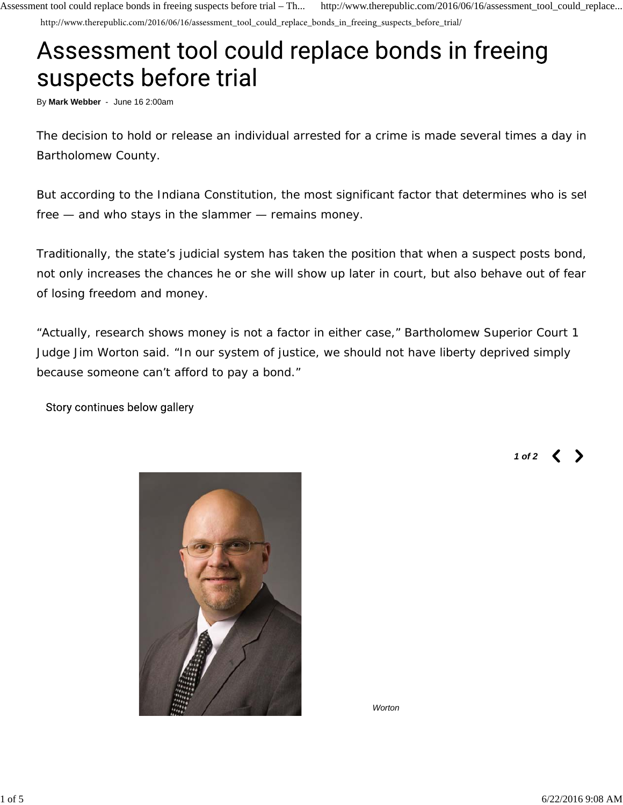http://www.therepublic.com/2016/06/16/assessment\_tool\_could\_replace\_bonds\_in\_freeing\_suspects\_before\_trial/

## Assessment tool could replace bonds in freeing suspects before trial

By **Mark Webber** - June 16 2:00am

The decision to hold or release an individual arrested for a crime is made several times a day in Bartholomew County.

But according to the Indiana Constitution, the most significant factor that determines who is set free — and who stays in the slammer — remains money.

Traditionally, the state's judicial system has taken the position that when a suspect posts bond, not only increases the chances he or she will show up later in court, but also behave out of fear of losing freedom and money.

"Actually, research shows money is not a factor in either case," Bartholomew Superior Court 1 Judge Jim Worton said. "In our system of justice, we should not have liberty deprived simply because someone can't afford to pay a bond."

Story continues below gallery

*1 of 2*



*Worton*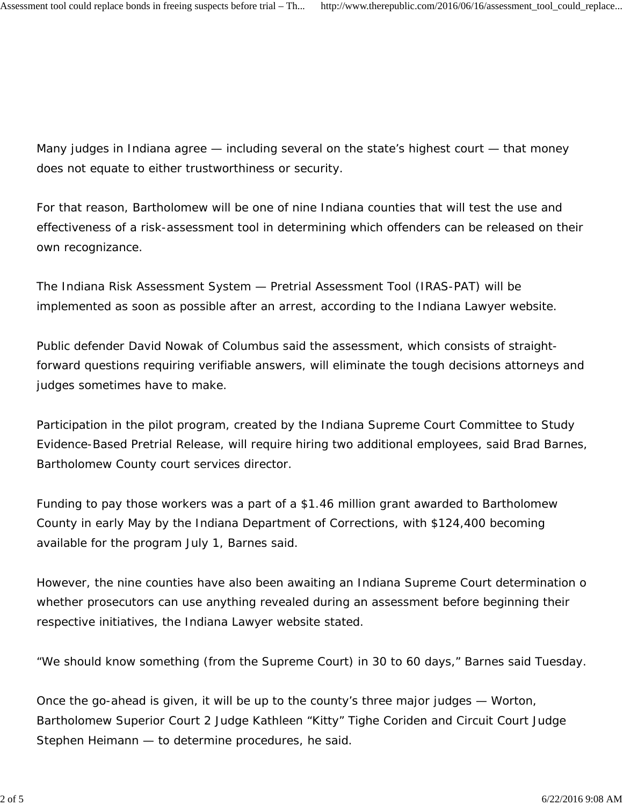Many judges in Indiana agree — including several on the state's highest court — that money does not equate to either trustworthiness or security.

For that reason, Bartholomew will be one of nine Indiana counties that will test the use and effectiveness of a risk-assessment tool in determining which offenders can be released on their own recognizance.

The Indiana Risk Assessment System — Pretrial Assessment Tool (IRAS-PAT) will be implemented as soon as possible after an arrest, according to the Indiana Lawyer website.

Public defender David Nowak of Columbus said the assessment, which consists of straightforward questions requiring verifiable answers, will eliminate the tough decisions attorneys and judges sometimes have to make.

Participation in the pilot program, created by the Indiana Supreme Court Committee to Study Evidence-Based Pretrial Release, will require hiring two additional employees, said Brad Barnes, Bartholomew County court services director.

Funding to pay those workers was a part of a \$1.46 million grant awarded to Bartholomew County in early May by the Indiana Department of Corrections, with \$124,400 becoming available for the program July 1, Barnes said.

However, the nine counties have also been awaiting an Indiana Supreme Court determination o whether prosecutors can use anything revealed during an assessment before beginning their respective initiatives, the Indiana Lawyer website stated.

"We should know something (from the Supreme Court) in 30 to 60 days," Barnes said Tuesday.

Once the go-ahead is given, it will be up to the county's three major judges — Worton, Bartholomew Superior Court 2 Judge Kathleen "Kitty" Tighe Coriden and Circuit Court Judge Stephen Heimann — to determine procedures, he said.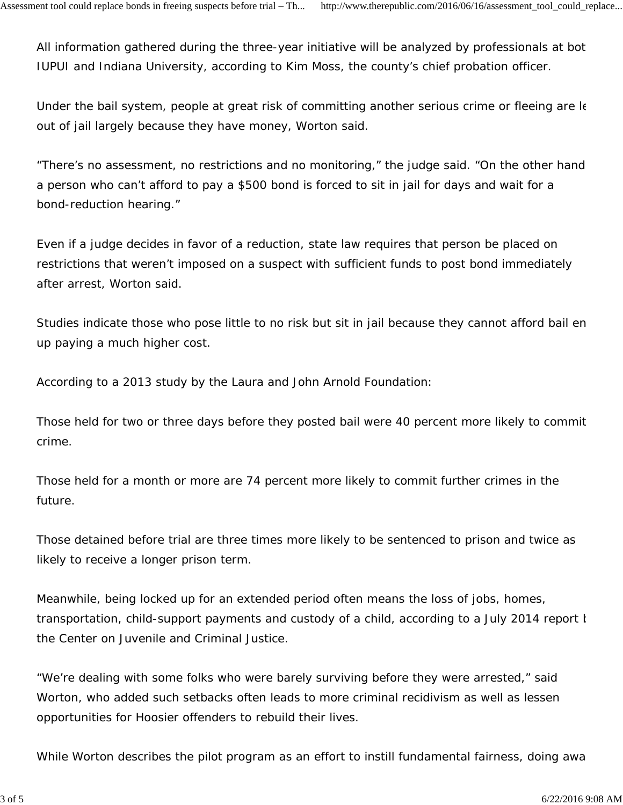All information gathered during the three-year initiative will be analyzed by professionals at bot IUPUI and Indiana University, according to Kim Moss, the county's chief probation officer.

Under the bail system, people at great risk of committing another serious crime or fleeing are le out of jail largely because they have money, Worton said.

"There's no assessment, no restrictions and no monitoring," the judge said. "On the other hand a person who can't afford to pay a \$500 bond is forced to sit in jail for days and wait for a bond-reduction hearing."

Even if a judge decides in favor of a reduction, state law requires that person be placed on restrictions that weren't imposed on a suspect with sufficient funds to post bond immediately after arrest, Worton said.

Studies indicate those who pose little to no risk but sit in jail because they cannot afford bail en up paying a much higher cost.

According to a 2013 study by the Laura and John Arnold Foundation:

Those held for two or three days before they posted bail were 40 percent more likely to commit crime.

Those held for a month or more are 74 percent more likely to commit further crimes in the future.

Those detained before trial are three times more likely to be sentenced to prison and twice as likely to receive a longer prison term.

Meanwhile, being locked up for an extended period often means the loss of jobs, homes, transportation, child-support payments and custody of a child, according to a July 2014 report b the Center on Juvenile and Criminal Justice.

"We're dealing with some folks who were barely surviving before they were arrested," said Worton, who added such setbacks often leads to more criminal recidivism as well as lessen opportunities for Hoosier offenders to rebuild their lives.

While Worton describes the pilot program as an effort to instill fundamental fairness, doing awa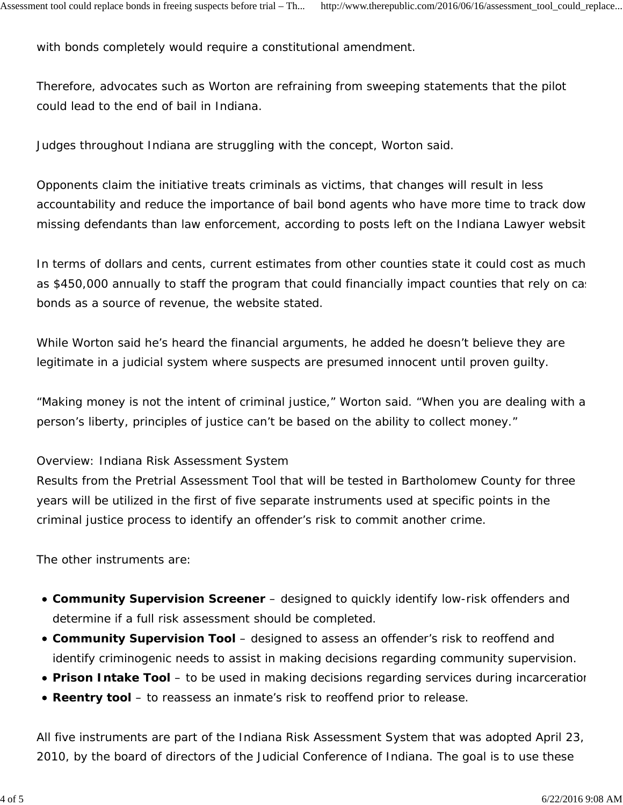with bonds completely would require a constitutional amendment.

Therefore, advocates such as Worton are refraining from sweeping statements that the pilot could lead to the end of bail in Indiana.

Judges throughout Indiana are struggling with the concept, Worton said.

Opponents claim the initiative treats criminals as victims, that changes will result in less accountability and reduce the importance of bail bond agents who have more time to track dow missing defendants than law enforcement, according to posts left on the Indiana Lawyer website

In terms of dollars and cents, current estimates from other counties state it could cost as much as \$450,000 annually to staff the program that could financially impact counties that rely on case bonds as a source of revenue, the website stated.

While Worton said he's heard the financial arguments, he added he doesn't believe they are legitimate in a judicial system where suspects are presumed innocent until proven guilty.

"Making money is not the intent of criminal justice," Worton said. "When you are dealing with a person's liberty, principles of justice can't be based on the ability to collect money."

## Overview: Indiana Risk Assessment System

Results from the Pretrial Assessment Tool that will be tested in Bartholomew County for three years will be utilized in the first of five separate instruments used at specific points in the criminal justice process to identify an offender's risk to commit another crime.

The other instruments are:

- **Community Supervision Screener** designed to quickly identify low-risk offenders and determine if a full risk assessment should be completed.
- **Community Supervision Tool** designed to assess an offender's risk to reoffend and identify criminogenic needs to assist in making decisions regarding community supervision.
- **Prison Intake Tool** to be used in making decisions regarding services during incarceration
- **Reentry tool** to reassess an inmate's risk to reoffend prior to release.

All five instruments are part of the Indiana Risk Assessment System that was adopted April 23, 2010, by the board of directors of the Judicial Conference of Indiana. The goal is to use these